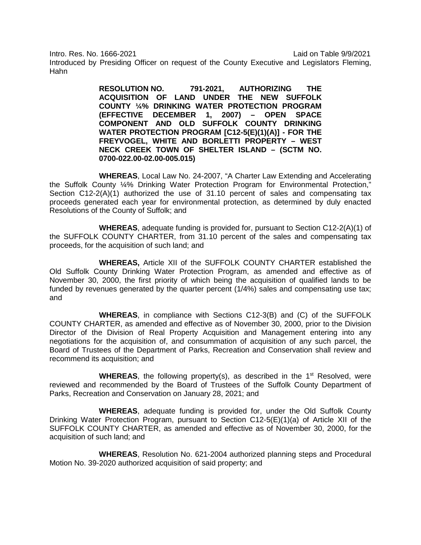Intro. Res. No. 1666-2021 Laid on Table 9/9/2021

Introduced by Presiding Officer on request of the County Executive and Legislators Fleming, Hahn

> **RESOLUTION NO. 791-2021, AUTHORIZING THE ACQUISITION OF LAND UNDER THE NEW SUFFOLK COUNTY ¼% DRINKING WATER PROTECTION PROGRAM (EFFECTIVE DECEMBER 1, 2007) – OPEN SPACE COMPONENT AND OLD SUFFOLK COUNTY DRINKING WATER PROTECTION PROGRAM [C12-5(E)(1)(A)] - FOR THE FREYVOGEL, WHITE AND BORLETTI PROPERTY – WEST NECK CREEK TOWN OF SHELTER ISLAND – (SCTM NO. 0700-022.00-02.00-005.015)**

**WHEREAS**, Local Law No. 24-2007, "A Charter Law Extending and Accelerating the Suffolk County ¼% Drinking Water Protection Program for Environmental Protection," Section C12-2(A)(1) authorized the use of 31.10 percent of sales and compensating tax proceeds generated each year for environmental protection, as determined by duly enacted Resolutions of the County of Suffolk; and

**WHEREAS**, adequate funding is provided for, pursuant to Section C12-2(A)(1) of the SUFFOLK COUNTY CHARTER, from 31.10 percent of the sales and compensating tax proceeds, for the acquisition of such land; and

**WHEREAS,** Article XII of the SUFFOLK COUNTY CHARTER established the Old Suffolk County Drinking Water Protection Program, as amended and effective as of November 30, 2000, the first priority of which being the acquisition of qualified lands to be funded by revenues generated by the quarter percent (1/4%) sales and compensating use tax; and

**WHEREAS**, in compliance with Sections C12-3(B) and (C) of the SUFFOLK COUNTY CHARTER, as amended and effective as of November 30, 2000, prior to the Division Director of the Division of Real Property Acquisition and Management entering into any negotiations for the acquisition of, and consummation of acquisition of any such parcel, the Board of Trustees of the Department of Parks, Recreation and Conservation shall review and recommend its acquisition; and

**WHEREAS**, the following property(s), as described in the  $1<sup>st</sup>$  Resolved, were reviewed and recommended by the Board of Trustees of the Suffolk County Department of Parks, Recreation and Conservation on January 28, 2021; and

**WHEREAS**, adequate funding is provided for, under the Old Suffolk County Drinking Water Protection Program, pursuant to Section C12-5(E)(1)(a) of Article XII of the SUFFOLK COUNTY CHARTER, as amended and effective as of November 30, 2000, for the acquisition of such land; and

**WHEREAS**, Resolution No. 621-2004 authorized planning steps and Procedural Motion No. 39-2020 authorized acquisition of said property; and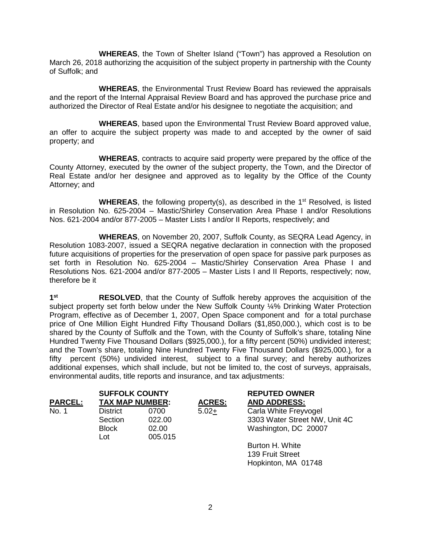**WHEREAS**, the Town of Shelter Island ("Town") has approved a Resolution on March 26, 2018 authorizing the acquisition of the subject property in partnership with the County of Suffolk; and

**WHEREAS**, the Environmental Trust Review Board has reviewed the appraisals and the report of the Internal Appraisal Review Board and has approved the purchase price and authorized the Director of Real Estate and/or his designee to negotiate the acquisition; and

**WHEREAS**, based upon the Environmental Trust Review Board approved value, an offer to acquire the subject property was made to and accepted by the owner of said property; and

**WHEREAS**, contracts to acquire said property were prepared by the office of the County Attorney, executed by the owner of the subject property, the Town, and the Director of Real Estate and/or her designee and approved as to legality by the Office of the County Attorney; and

**WHEREAS**, the following property(s), as described in the 1<sup>st</sup> Resolved, is listed in Resolution No. 625-2004 – Mastic/Shirley Conservation Area Phase I and/or Resolutions Nos. 621-2004 and/or 877-2005 – Master Lists I and/or II Reports, respectively; and

**WHEREAS**, on November 20, 2007, Suffolk County, as SEQRA Lead Agency, in Resolution 1083-2007, issued a SEQRA negative declaration in connection with the proposed future acquisitions of properties for the preservation of open space for passive park purposes as set forth in Resolution No. 625-2004 – Mastic/Shirley Conservation Area Phase I and Resolutions Nos. 621-2004 and/or 877-2005 – Master Lists I and II Reports, respectively; now, therefore be it

**1st RESOLVED**, that the County of Suffolk hereby approves the acquisition of the subject property set forth below under the New Suffolk County 14% Drinking Water Protection Program, effective as of December 1, 2007, Open Space component and for a total purchase price of One Million Eight Hundred Fifty Thousand Dollars (\$1,850,000.), which cost is to be shared by the County of Suffolk and the Town, with the County of Suffolk's share, totaling Nine Hundred Twenty Five Thousand Dollars (\$925,000.), for a fifty percent (50%) undivided interest; and the Town's share, totaling Nine Hundred Twenty Five Thousand Dollars (\$925,000.), for a fifty percent (50%) undivided interest, subject to a final survey; and hereby authorizes additional expenses, which shall include, but not be limited to, the cost of surveys, appraisals, environmental audits, title reports and insurance, and tax adjustments:

|                | <b>SUFFOLK COUNTY</b>      |                |               | <b>REPUTED OWNER</b>                                   |
|----------------|----------------------------|----------------|---------------|--------------------------------------------------------|
| <b>PARCEL:</b> | <b>TAX MAP NUMBER:</b>     |                | <b>ACRES:</b> | <b>AND ADDRESS:</b>                                    |
| No. 1          | <b>District</b><br>Section | 0700<br>022.00 | $5.02+$       | Carla White Freyvogel<br>3303 Water Street NW, Unit 4C |
|                | <b>Block</b>               | 02.00          |               | Washington, DC 20007                                   |
|                | Lot                        | 005.015        |               |                                                        |
|                |                            |                |               | Burton H. White                                        |
|                |                            |                |               | 139 Fruit Street                                       |

Hopkinton, MA 01748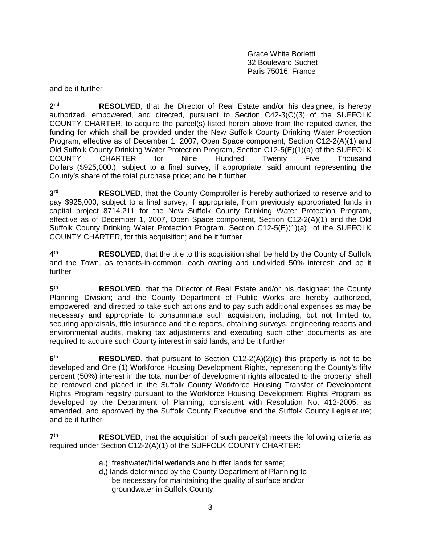Grace White Borletti 32 Boulevard Suchet Paris 75016, France

and be it further

2<sup>nd</sup> RESOLVED, that the Director of Real Estate and/or his designee, is hereby authorized, empowered, and directed, pursuant to Section C42-3(C)(3) of the SUFFOLK COUNTY CHARTER, to acquire the parcel(s) listed herein above from the reputed owner, the funding for which shall be provided under the New Suffolk County Drinking Water Protection Program, effective as of December 1, 2007, Open Space component, Section C12-2(A)(1) and Old Suffolk County Drinking Water Protection Program, Section C12-5(E)(1)(a) of the SUFFOLK COUNTY CHARTER for Nine Hundred Twenty Five Thousand Dollars (\$925,000.), subject to a final survey, if appropriate, said amount representing the County's share of the total purchase price; and be it further

**3rd RESOLVED**, that the County Comptroller is hereby authorized to reserve and to pay \$925,000, subject to a final survey, if appropriate, from previously appropriated funds in capital project 8714.211 for the New Suffolk County Drinking Water Protection Program, effective as of December 1, 2007, Open Space component, Section C12-2(A)(1) and the Old Suffolk County Drinking Water Protection Program, Section C12-5(E)(1)(a) of the SUFFOLK COUNTY CHARTER, for this acquisition; and be it further

**4th RESOLVED**, that the title to this acquisition shall be held by the County of Suffolk and the Town, as tenants-in-common, each owning and undivided 50% interest; and be it further

**5th RESOLVED**, that the Director of Real Estate and/or his designee; the County Planning Division; and the County Department of Public Works are hereby authorized, empowered, and directed to take such actions and to pay such additional expenses as may be necessary and appropriate to consummate such acquisition, including, but not limited to, securing appraisals, title insurance and title reports, obtaining surveys, engineering reports and environmental audits, making tax adjustments and executing such other documents as are required to acquire such County interest in said lands; and be it further

**6th RESOLVED**, that pursuant to Section C12-2(A)(2)(c) this property is not to be developed and One (1) Workforce Housing Development Rights, representing the County's fifty percent (50%) interest in the total number of development rights allocated to the property, shall be removed and placed in the Suffolk County Workforce Housing Transfer of Development Rights Program registry pursuant to the Workforce Housing Development Rights Program as developed by the Department of Planning, consistent with Resolution No. 412-2005, as amended, and approved by the Suffolk County Executive and the Suffolk County Legislature; and be it further

**7th RESOLVED**, that the acquisition of such parcel(s) meets the following criteria as required under Section C12-2(A)(1) of the SUFFOLK COUNTY CHARTER:

- a.) freshwater/tidal wetlands and buffer lands for same;
- d,) lands determined by the County Department of Planning to be necessary for maintaining the quality of surface and/or groundwater in Suffolk County;